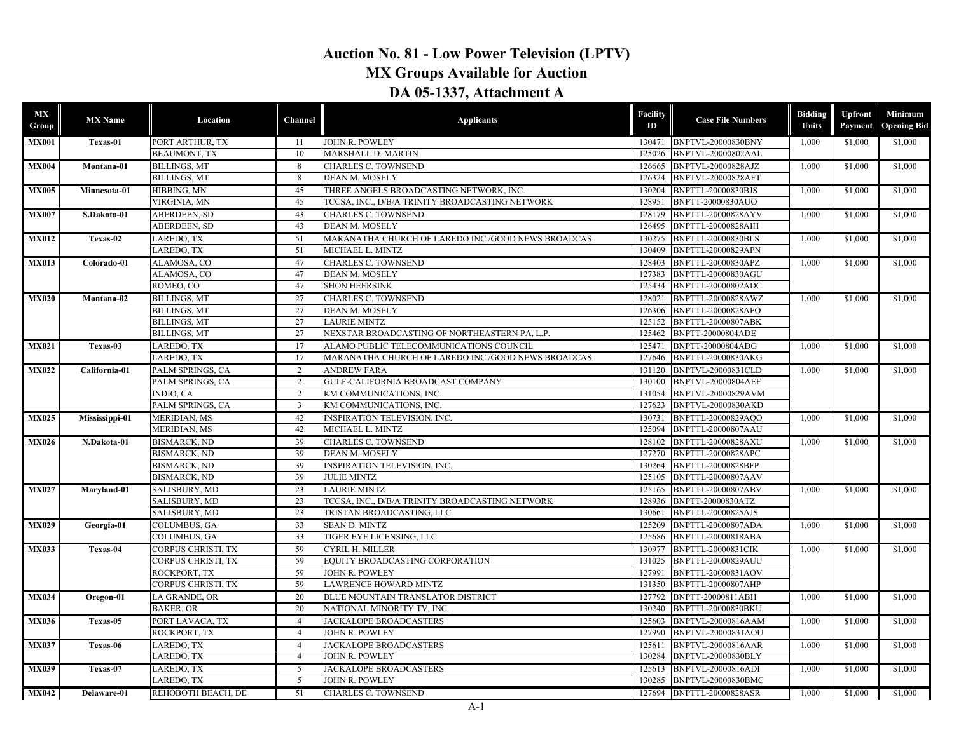## **Auction No. 81 - Low Power Television (LPTV) MX Groups Available for Auction DA 05-1337, Attachment A**

| MX<br>Group  | <b>MX</b> Name | Location            | Channel        | <b>Applicants</b>                                  | Facility<br>ID | <b>Case File Numbers</b>  | <b>Bidding</b><br>Units | Upfront<br>Payment | Minimum<br><b>Opening Bid</b> |         |
|--------------|----------------|---------------------|----------------|----------------------------------------------------|----------------|---------------------------|-------------------------|--------------------|-------------------------------|---------|
| <b>MX001</b> | Texas-01       | PORT ARTHUR, TX     | 11             | JOHN R. POWLEY                                     |                | 130471 BNPTVL-20000830BNY | 1,000                   | \$1,000            | \$1,000                       |         |
|              |                | <b>BEAUMONT, TX</b> | 10             | MARSHALL D. MARTIN                                 | 125026         | BNPTVL-20000802AAL        |                         |                    |                               |         |
| <b>MX004</b> | Montana-01     | <b>BILLINGS, MT</b> | 8              | <b>CHARLES C. TOWNSEND</b>                         | 126665         | <b>BNPTVL-20000828AJZ</b> | 1,000                   | \$1,000            | \$1,000                       |         |
|              |                | <b>BILLINGS, MT</b> | 8              | DEAN M. MOSELY                                     | 126324         | BNPTVL-20000828AFT        |                         |                    |                               |         |
| <b>MX005</b> | Minnesota-01   | HIBBING, MN         | 45             | THREE ANGELS BROADCASTING NETWORK. INC.            | 130204         | <b>BNPTTL-20000830BJS</b> | 1.000                   | \$1,000            | \$1,000                       |         |
|              |                | VIRGINIA, MN        | 45             | TCCSA, INC., D/B/A TRINITY BROADCASTING NETWORK    | 128951         | BNPTT-20000830AUO         |                         |                    |                               |         |
| <b>MX007</b> | S.Dakota-01    | <b>ABERDEEN, SD</b> | 43             | <b>CHARLES C. TOWNSEND</b>                         | 128179         | <b>BNPTTL-20000828AYV</b> | 1.000                   | \$1,000            | \$1,000                       |         |
|              |                | ABERDEEN, SD        | 43             | DEAN M. MOSELY                                     | 126495         | <b>BNPTTL-20000828AIH</b> |                         |                    |                               |         |
| <b>MX012</b> | Texas-02       | LAREDO, TX          | 51             | MARANATHA CHURCH OF LAREDO INC./GOOD NEWS BROADCAS | 130275         | BNPTTL-20000830BLS        | 1,000                   | \$1,000            | \$1,000                       |         |
|              |                | LAREDO, TX          | 51             | MICHAEL L. MINTZ                                   | 130409         | BNPTTL-20000829APN        |                         |                    |                               |         |
| <b>MX013</b> | Colorado-01    | ALAMOSA, CO         | 47             | CHARLES C. TOWNSEND                                | 128403         | BNPTTL-20000830APZ        | 1,000                   | \$1,000            | \$1,000                       |         |
|              |                | ALAMOSA, CO         | 47             | DEAN M. MOSELY                                     | 127383         | BNPTTL-20000830AGU        |                         |                    |                               |         |
|              |                | ROMEO, CO           | 47             | <b>SHON HEERSINK</b>                               | 125434         | <b>BNPTTL-20000802ADC</b> |                         |                    |                               |         |
| <b>MX020</b> | Montana-02     | <b>BILLINGS, MT</b> | 27             | <b>CHARLES C. TOWNSEND</b>                         | 128021         | BNPTTL-20000828AWZ        | 1,000                   | \$1,000            | \$1,000                       |         |
|              |                | <b>BILLINGS, MT</b> | 27             | DEAN M. MOSELY                                     | 126306         | BNPTTL-20000828AFO        |                         |                    |                               |         |
|              |                | <b>BILLINGS, MT</b> | 27             | <b>LAURIE MINTZ</b>                                | 125152         | <b>BNPTTL-20000807ABK</b> |                         |                    |                               |         |
|              |                | <b>BILLINGS, MT</b> | 27             | NEXSTAR BROADCASTING OF NORTHEASTERN PA, L.P.      | 125462         | <b>BNPTT-20000804ADE</b>  |                         |                    |                               |         |
| <b>MX021</b> | Texas-03       | LAREDO, TX          | 17             | ALAMO PUBLIC TELECOMMUNICATIONS COUNCIL            | 125471         | BNPTT-20000804ADG         | 1,000                   | \$1,000            | \$1,000                       |         |
|              |                | LAREDO, TX          | 17             | MARANATHA CHURCH OF LAREDO INC./GOOD NEWS BROADCAS | 127646         | BNPTTL-20000830AKG        |                         |                    |                               |         |
| <b>MX022</b> | California-01  | PALM SPRINGS, CA    | 2              | <b>ANDREW FARA</b>                                 | 131120         | BNPTVL-20000831CLD        | 1,000                   | \$1,000            | \$1,000                       |         |
|              |                | PALM SPRINGS, CA    | 2              | GULF-CALIFORNIA BROADCAST COMPANY                  | 130100         | <b>BNPTVL-20000804AEF</b> |                         |                    |                               |         |
|              |                | INDIO, CA           | 2              | KM COMMUNICATIONS, INC.                            | 131054         | BNPTVL-20000829AVM        |                         |                    |                               |         |
|              |                | PALM SPRINGS, CA    | $\overline{3}$ | KM COMMUNICATIONS, INC.                            | 127623         | BNPTVL-20000830AKD        |                         |                    |                               |         |
| <b>MX025</b> | Mississippi-01 | MERIDIAN, MS        | 42             | <b>INSPIRATION TELEVISION, INC.</b>                | 130731         | BNPTTL-20000829AOO        | 1,000                   | \$1,000            | \$1,000                       |         |
|              |                | MERIDIAN, MS        | 42             | MICHAEL L. MINTZ                                   | 125094         | <b>BNPTTL-20000807AAU</b> |                         |                    |                               |         |
| <b>MX026</b> | N.Dakota-01    | <b>BISMARCK, ND</b> | 39             | CHARLES C. TOWNSEND                                | 128102         | BNPTTL-20000828AXU        | 1,000                   |                    | \$1,000                       | \$1,000 |
|              |                | <b>BISMARCK, ND</b> | 39             | DEAN M. MOSELY                                     | 127270         | <b>BNPTTL-20000828APC</b> |                         |                    |                               |         |
|              |                | <b>BISMARCK, ND</b> | 39             | INSPIRATION TELEVISION, INC.                       | 130264         | <b>BNPTTL-20000828BFP</b> |                         |                    |                               |         |
|              |                | <b>BISMARCK, ND</b> | 39             | <b>JULIE MINTZ</b>                                 | 125105         | BNPTTL-20000807AAV        |                         |                    |                               |         |
| <b>MX027</b> | Maryland-01    | SALISBURY, MD       | 23             | <b>LAURIE MINTZ</b>                                | 125165         | <b>BNPTTL-20000807ABV</b> | 1.000                   | \$1,000            | \$1,000                       |         |
|              |                | SALISBURY, MD       | 23             | TCCSA, INC., D/B/A TRINITY BROADCASTING NETWORK    | 128936         | BNPTT-20000830ATZ         |                         |                    |                               |         |
|              |                | SALISBURY, MD       | 23             | TRISTAN BROADCASTING, LLC                          | 130661         | <b>BNPTTL-20000825AJS</b> |                         |                    |                               |         |
| <b>MX029</b> | Georgia-01     | COLUMBUS, GA        | 33             | <b>SEAN D. MINTZ</b>                               | 125209         | BNPTTL-20000807ADA        | 1,000                   | \$1,000            | \$1,000                       |         |
|              |                | COLUMBUS, GA        | 33             | TIGER EYE LICENSING, LLC                           | 125686         | BNPTTL-20000818ABA        |                         |                    |                               |         |
| <b>MX033</b> | Texas-04       | CORPUS CHRISTI, TX  | 59             | CYRIL H. MILLER                                    | 130977         | <b>BNPTTL-20000831CIK</b> | 1,000                   | \$1,000            | \$1,000                       |         |
|              |                | CORPUS CHRISTI, TX  | 59             | EQUITY BROADCASTING CORPORATION                    | 131025         | <b>BNPTTL-20000829AUU</b> |                         |                    |                               |         |
|              |                | ROCKPORT, TX        | 59             | JOHN R. POWLEY                                     | 127991         | BNPTTL-20000831AOV        |                         |                    |                               |         |
|              |                | CORPUS CHRISTI, TX  | 59             | <b>LAWRENCE HOWARD MINTZ</b>                       | 131350         | <b>BNPTTL-20000807AHP</b> |                         |                    |                               |         |
| <b>MX034</b> | Oregon-01      | LA GRANDE, OR       | 20             | BLUE MOUNTAIN TRANSLATOR DISTRICT                  | 127792         | BNPTT-20000811ABH         | 1,000                   | \$1,000            | \$1,000                       |         |
|              |                | <b>BAKER, OR</b>    | 20             | NATIONAL MINORITY TV, INC.                         | 130240         | BNPTTL-20000830BKU        |                         |                    |                               |         |
| <b>MX036</b> | Texas-05       | PORT LAVACA, TX     | $\overline{4}$ | JACKALOPE BROADCASTERS                             | 125603         | BNPTVL-20000816AAM        | 1,000                   | \$1,000            | \$1,000                       |         |
|              |                | ROCKPORT, TX        | $\overline{4}$ | JOHN R. POWLEY                                     | 127990         | BNPTVL-20000831AOU        |                         |                    |                               |         |
| <b>MX037</b> | Texas-06       | LAREDO, TX          | $\overline{4}$ | JACKALOPE BROADCASTERS                             | 125611         | BNPTVL-20000816AAR        | 1,000                   | \$1,000            | \$1,000                       |         |
|              |                | LAREDO, TX          | $\overline{4}$ | JOHN R. POWLEY                                     | 130284         | BNPTVL-20000830BLY        |                         |                    |                               |         |
| <b>MX039</b> | Texas-07       | LAREDO, TX          | 5              | JACKALOPE BROADCASTERS                             |                | 125613 BNPTVL-20000816ADI | 1,000                   | \$1,000            | \$1,000                       |         |
|              |                | LAREDO, TX          | 5              | <b>JOHN R. POWLEY</b>                              | 130285         | <b>BNPTVL-20000830BMC</b> |                         |                    |                               |         |
| <b>MX042</b> | Delaware-01    | REHOBOTH BEACH, DE  | 51             | <b>CHARLES C. TOWNSEND</b>                         |                | 127694 BNPTTL-20000828ASR | 1,000                   | \$1,000            | \$1,000                       |         |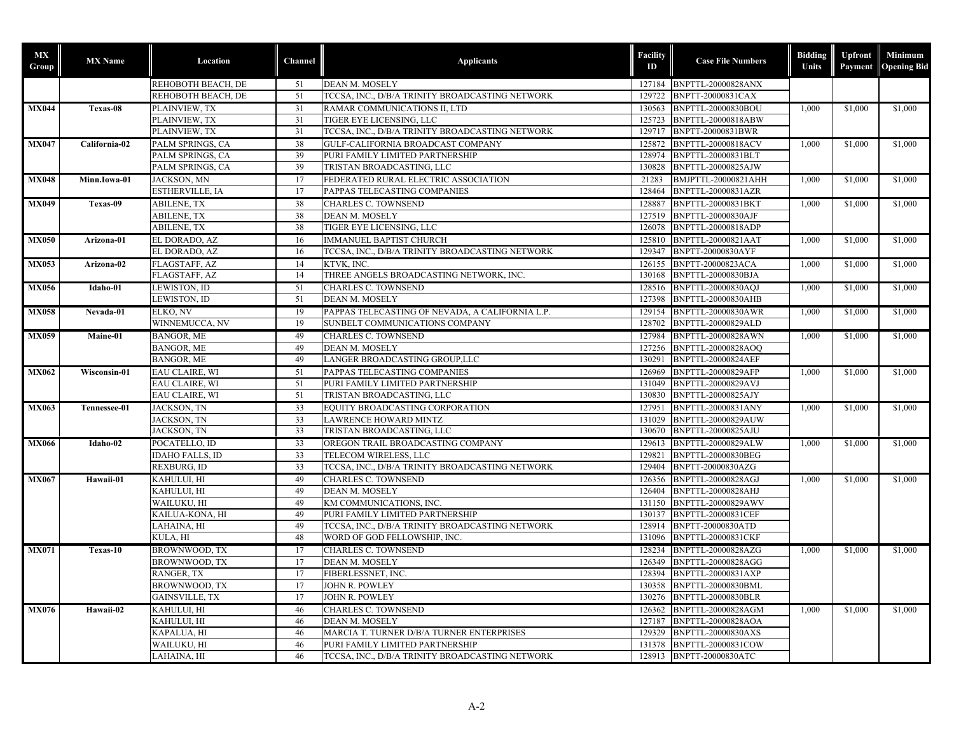| МX<br>Group  | <b>MX</b> Name | Location               | Channel         | <b>Applicants</b>                               | <b>Facility</b><br>ID | <b>Case File Numbers</b>  | <b>Bidding</b><br>Units | <b>Upfront</b><br>Payment | Minimum<br><b>Opening Bid</b> |
|--------------|----------------|------------------------|-----------------|-------------------------------------------------|-----------------------|---------------------------|-------------------------|---------------------------|-------------------------------|
|              |                | REHOBOTH BEACH, DE     | 51              | DEAN M. MOSELY                                  |                       | 127184 BNPTTL-20000828ANX |                         |                           |                               |
|              |                | REHOBOTH BEACH, DE     | 51              | TCCSA, INC., D/B/A TRINITY BROADCASTING NETWORK |                       | 129722 BNPTT-20000831CAX  |                         |                           |                               |
| <b>MX044</b> | Texas-08       | PLAINVIEW, TX          | 31              | RAMAR COMMUNICATIONS II, LTD                    |                       | 130563 BNPTTL-20000830BOU | 1,000                   | \$1,000                   | \$1,000                       |
|              |                | PLAINVIEW, TX          | 31              | TIGER EYE LICENSING, LLC                        |                       | 125723 BNPTTL-20000818ABW |                         |                           |                               |
|              |                | PLAINVIEW, TX          | 31              | TCCSA, INC., D/B/A TRINITY BROADCASTING NETWORK |                       | 129717 BNPTT-20000831BWR  |                         |                           |                               |
| <b>MX047</b> | California-02  | PALM SPRINGS, CA       | 38              | GULF-CALIFORNIA BROADCAST COMPANY               |                       | 125872 BNPTTL-20000818ACV | 1,000                   | \$1,000                   | \$1,000                       |
|              |                | PALM SPRINGS, CA       | 39              | PURI FAMILY LIMITED PARTNERSHIP                 | 128974                | BNPTTL-20000831BLT        |                         |                           |                               |
|              |                | PALM SPRINGS, CA       | 39              | TRISTAN BROADCASTING, LLC                       |                       | 130828 BNPTTL-20000825AJW |                         |                           |                               |
| <b>MX048</b> | Minn.Iowa-01   | JACKSON, MN            | 17              | FEDERATED RURAL ELECTRIC ASSOCIATION            | 21283                 | BMJPTTL-20000821AHH       | 1,000                   | \$1,000                   | \$1,000                       |
|              |                | ESTHERVILLE, IA        | 17              | PAPPAS TELECASTING COMPANIES                    | 128464                | <b>BNPTTL-20000831AZR</b> |                         |                           |                               |
| <b>MX049</b> | Texas-09       | <b>ABILENE, TX</b>     | 38              | <b>CHARLES C. TOWNSEND</b>                      |                       | 128887 BNPTTL-20000831BKT | 1,000                   | \$1,000                   | \$1,000                       |
|              |                | <b>ABILENE, TX</b>     | 38              | <b>DEAN M. MOSELY</b>                           | 127519                | <b>BNPTTL-20000830AJF</b> |                         |                           |                               |
|              |                | <b>ABILENE, TX</b>     | 38              | TIGER EYE LICENSING, LLC                        | 126078                | <b>BNPTTL-20000818ADP</b> |                         |                           |                               |
| <b>MX050</b> | Arizona-01     | EL DORADO, AZ          | 16              | <b>IMMANUEL BAPTIST CHURCH</b>                  |                       | 125810 BNPTTL-20000821AAT | 1,000                   | \$1,000                   | \$1,000                       |
|              |                | EL DORADO, AZ          | 16              | TCCSA, INC., D/B/A TRINITY BROADCASTING NETWORK |                       | 129347 BNPTT-20000830AYF  |                         |                           |                               |
| <b>MX053</b> | Arizona-02     | FLAGSTAFF, AZ          | 14              | KTVK, INC.                                      |                       | 126155 BNPTT-20000823ACA  | 1,000                   | \$1,000                   | \$1,000                       |
|              |                | FLAGSTAFF, AZ          | 14              | THREE ANGELS BROADCASTING NETWORK, INC.         | 130168                | <b>BNPTTL-20000830BJA</b> |                         |                           |                               |
| <b>MX056</b> | Idaho-01       | LEWISTON, ID           | 51              | <b>CHARLES C. TOWNSEND</b>                      |                       | 128516 BNPTTL-20000830AQJ | 1,000                   | \$1,000                   | \$1,000                       |
|              |                | LEWISTON, ID           | 51              | DEAN M. MOSELY                                  |                       | 127398 BNPTTL-20000830AHB |                         |                           |                               |
| <b>MX058</b> | Nevada-01      | ELKO, NV               | 19              | PAPPAS TELECASTING OF NEVADA, A CALIFORNIA L.P. |                       | 129154 BNPTTL-20000830AWR | 1,000                   | \$1,000                   | \$1,000                       |
|              |                | WINNEMUCCA, NV         | 19              | SUNBELT COMMUNICATIONS COMPANY                  |                       | 128702 BNPTTL-20000829ALD |                         |                           |                               |
| <b>MX059</b> | Maine-01       | <b>BANGOR, ME</b>      | 49              | <b>CHARLES C. TOWNSEND</b>                      |                       | 127984 BNPTTL-20000828AWN | 1,000                   | \$1,000                   | \$1,000                       |
|              |                | <b>BANGOR, ME</b>      | 49              | <b>DEAN M. MOSELY</b>                           | 127256                | BNPTTL-20000828AOO        |                         |                           |                               |
|              |                | <b>BANGOR, ME</b>      | 49              | LANGER BROADCASTING GROUP,LLC                   | 130291                | <b>BNPTTL-20000824AEF</b> |                         |                           |                               |
| <b>MX062</b> | Wisconsin-01   | <b>EAU CLAIRE, WI</b>  | 51              | PAPPAS TELECASTING COMPANIES                    |                       | 126969 BNPTTL-20000829AFP | 1,000                   | \$1,000                   | \$1,000                       |
|              |                | EAU CLAIRE, WI         | 51              | PURI FAMILY LIMITED PARTNERSHIP                 |                       | 131049 BNPTTL-20000829AVJ |                         |                           |                               |
|              |                | EAU CLAIRE, WI         | 51              | TRISTAN BROADCASTING, LLC                       |                       | 130830 BNPTTL-20000825AJY |                         |                           |                               |
| <b>MX063</b> | Tennessee-01   | JACKSON, TN            | 33              | EQUITY BROADCASTING CORPORATION                 | 127951                | <b>BNPTTL-20000831ANY</b> | 1,000                   | \$1,000                   | \$1,000                       |
|              |                | JACKSON, TN            | 33              | <b>LAWRENCE HOWARD MINTZ</b>                    | 131029                | <b>BNPTTL-20000829AUW</b> |                         |                           |                               |
|              |                | JACKSON, TN            | 33              | TRISTAN BROADCASTING, LLC                       | 130670                | BNPTTL-20000825AJU        |                         |                           |                               |
| <b>MX066</b> | Idaho-02       | POCATELLO, ID          | 33              | OREGON TRAIL BROADCASTING COMPANY               | 129613                | BNPTTL-20000829ALW        | 1.000                   | \$1,000                   | \$1,000                       |
|              |                | <b>IDAHO FALLS, ID</b> | $\overline{33}$ | TELECOM WIRELESS, LLC                           | 129821                | BNPTTL-20000830BEG        |                         |                           |                               |
|              |                | REXBURG, ID            | 33              | TCCSA, INC., D/B/A TRINITY BROADCASTING NETWORK |                       | 129404 BNPTT-20000830AZG  |                         |                           |                               |
| <b>MX067</b> | Hawaii-01      | KAHULUI, HI            | 49              | <b>CHARLES C. TOWNSEND</b>                      |                       | 126356 BNPTTL-20000828AGJ | 1,000                   | \$1,000                   | \$1,000                       |
|              |                | KAHULUI, HI            | 49              | <b>DEAN M. MOSELY</b>                           |                       | 126404 BNPTTL-20000828AHJ |                         |                           |                               |
|              |                | WAILUKU, HI            | 49              | KM COMMUNICATIONS, INC.                         |                       | 131150 BNPTTL-20000829AWV |                         |                           |                               |
|              |                | KAILUA-KONA, HI        | 49              | PURI FAMILY LIMITED PARTNERSHIP                 |                       | 130137 BNPTTL-20000831CEF |                         |                           |                               |
|              |                | LAHAINA, HI            | 49              | TCCSA, INC., D/B/A TRINITY BROADCASTING NETWORK | 128914                | BNPTT-20000830ATD         |                         |                           |                               |
|              |                | KULA, HI               | 48              | WORD OF GOD FELLOWSHIP, INC.                    | 131096                | <b>BNPTTL-20000831CKF</b> |                         |                           |                               |
| MX071        | Texas-10       | BROWNWOOD, TX          | 17              | CHARLES C. TOWNSEND                             |                       | 128234 BNPTTL-20000828AZG | 1,000                   | \$1,000                   | \$1,000                       |
|              |                | BROWNWOOD, TX          | 17              | <b>DEAN M. MOSELY</b>                           |                       | 126349 BNPTTL-20000828AGG |                         |                           |                               |
|              |                | RANGER, TX             | 17              | FIBERLESSNET, INC.                              | 128394                | BNPTTL-20000831AXP        |                         |                           |                               |
|              |                | BROWNWOOD, TX          | 17              | JOHN R. POWLEY                                  | 130358                | BNPTTL-20000830BML        |                         |                           |                               |
|              |                | <b>GAINSVILLE, TX</b>  | 17              | JOHN R. POWLEY                                  | 130276                | BNPTTL-20000830BLR        |                         |                           |                               |
| MX076        | Hawaii-02      | KAHULUI, HI            | 46              | CHARLES C. TOWNSEND                             |                       | 126362 BNPTTL-20000828AGM | 1,000                   | \$1,000                   | \$1,000                       |
|              |                | KAHULUI, HI            | 46              | DEAN M. MOSELY                                  | 127187                | BNPTTL-20000828AOA        |                         |                           |                               |
|              |                | KAPALUA, HI            | 46              | MARCIA T. TURNER D/B/A TURNER ENTERPRISES       |                       | 129329 BNPTTL-20000830AXS |                         |                           |                               |
|              |                | WAILUKU. HI            | 46              | PURI FAMILY LIMITED PARTNERSHIP                 |                       | 131378 BNPTTL-20000831COW |                         |                           |                               |
|              |                | LAHAINA, HI            | 46              | TCCSA, INC., D/B/A TRINITY BROADCASTING NETWORK |                       | 128913 BNPTT-20000830ATC  |                         |                           |                               |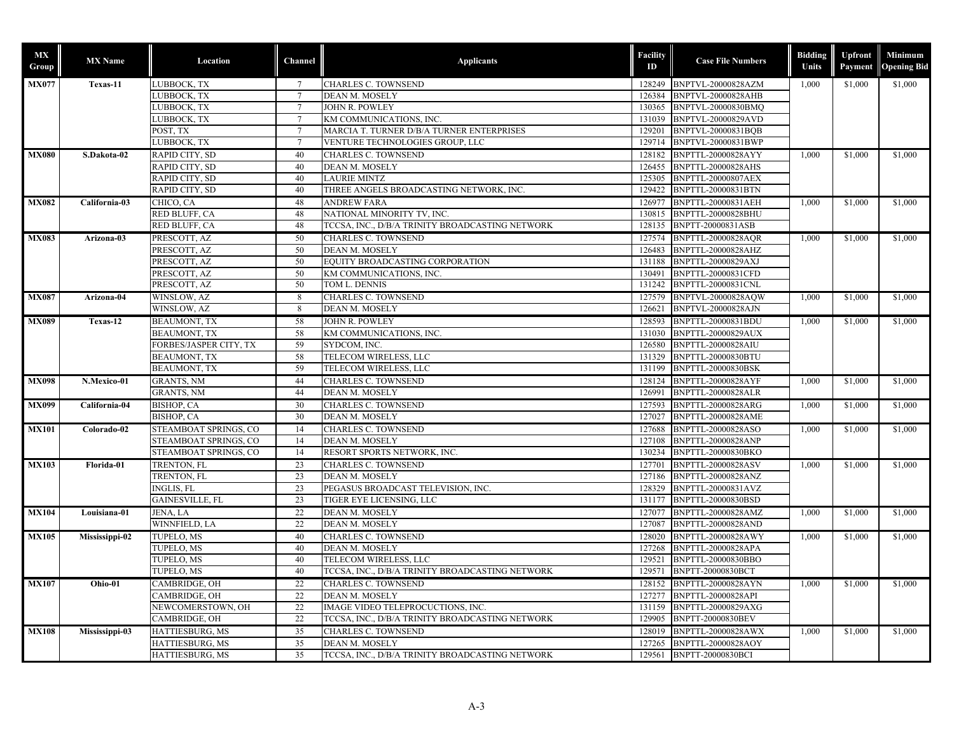| <b>MX</b><br>Group | <b>MX</b> Name | Location                           | Channel         | <b>Applicants</b>                               | <b>Facility</b><br>ID | <b>Case File Numbers</b>                        | <b>Bidding</b><br>Units | Upfront<br>Payment | Minimum<br><b>Opening Bid</b> |         |
|--------------------|----------------|------------------------------------|-----------------|-------------------------------------------------|-----------------------|-------------------------------------------------|-------------------------|--------------------|-------------------------------|---------|
| <b>MX077</b>       | Texas-11       | LUBBOCK, TX                        | $7\overline{ }$ | <b>CHARLES C. TOWNSEND</b>                      |                       | 128249 BNPTVL-20000828AZM                       | 1.000                   | \$1,000            | \$1,000                       |         |
|                    |                | LUBBOCK, TX                        | $7\phantom{.0}$ | DEAN M. MOSELY                                  | 126384                | <b>BNPTVL-20000828AHB</b>                       |                         |                    |                               |         |
|                    |                | LUBBOCK, TX                        |                 | JOHN R. POWLEY                                  | 130365                | BNPTVL-20000830BMO                              |                         |                    |                               |         |
|                    |                | LUBBOCK, TX                        |                 | KM COMMUNICATIONS, INC.                         | 131039                | BNPTVL-20000829AVD                              |                         |                    |                               |         |
|                    |                | POST, TX                           | 7               | MARCIA T. TURNER D/B/A TURNER ENTERPRISES       | 129201                | BNPTVL-20000831BOB                              |                         |                    |                               |         |
|                    |                | LUBBOCK, TX                        | $\overline{7}$  | VENTURE TECHNOLOGIES GROUP, LLC                 | 129714                | BNPTVL-20000831BWP                              |                         |                    |                               |         |
| <b>MX080</b>       | S.Dakota-02    | RAPID CITY, SD                     | 40              | CHARLES C. TOWNSEND                             | 128182                | BNPTTL-20000828AYY                              | 1,000                   | \$1,000            | \$1,000                       |         |
|                    |                | RAPID CITY, SD                     | 40              | DEAN M. MOSELY                                  | 126455                | <b>BNPTTL-20000828AHS</b>                       |                         |                    |                               |         |
|                    |                | RAPID CITY, SD                     | 40              | <b>LAURIE MINTZ</b>                             | 125305                | <b>BNPTTL-20000807AEX</b>                       |                         |                    |                               |         |
|                    |                | RAPID CITY, SD                     | 40              | THREE ANGELS BROADCASTING NETWORK, INC.         | 129422                | <b>BNPTTL-20000831BTN</b>                       |                         |                    |                               |         |
| <b>MX082</b>       | California-03  | CHICO, CA                          | 48              | <b>ANDREW FARA</b>                              |                       | 126977 BNPTTL-20000831AEH                       | 1.000                   | \$1,000            | \$1,000                       |         |
|                    |                | RED BLUFF, CA                      | 48              | NATIONAL MINORITY TV, INC.                      | 130815                | BNPTTL-20000828BHU                              |                         |                    |                               |         |
|                    |                | RED BLUFF, CA                      | 48              | TCCSA, INC., D/B/A TRINITY BROADCASTING NETWORK | 128135                | BNPTT-20000831ASB                               |                         |                    |                               |         |
| <b>MX083</b>       | Arizona-03     | PRESCOTT, AZ                       | 50              | <b>CHARLES C. TOWNSEND</b>                      |                       | 127574 BNPTTL-20000828AQR                       | 1,000                   | \$1,000            | \$1,000                       |         |
|                    |                | PRESCOTT, AZ                       | 50              | DEAN M. MOSELY                                  | 126483                | <b>BNPTTL-20000828AHZ</b>                       |                         |                    |                               |         |
|                    |                | PRESCOTT, AZ                       | 50              | EQUITY BROADCASTING CORPORATION                 | 131188                | BNPTTL-20000829AXJ                              |                         |                    |                               |         |
|                    |                | PRESCOTT, AZ                       | 50              | KM COMMUNICATIONS, INC.                         | 130491                | <b>BNPTTL-20000831CFD</b>                       |                         |                    |                               |         |
|                    |                | PRESCOTT, AZ                       | 50              | TOM L. DENNIS                                   | 131242                | <b>BNPTTL-20000831CNL</b>                       |                         |                    |                               |         |
| <b>MX087</b>       | Arizona-04     | WINSLOW, AZ                        | 8               | <b>CHARLES C. TOWNSEND</b>                      | 127579                | <b>BNPTVL-20000828AOW</b>                       | 1,000                   |                    | \$1,000                       | \$1,000 |
|                    |                | WINSLOW, AZ                        | 8               | DEAN M. MOSELY                                  | 126621                | <b>BNPTVL-20000828AJN</b>                       |                         |                    |                               |         |
| <b>MX089</b>       | Texas-12       | <b>BEAUMONT, TX</b>                | 58              | JOHN R. POWLEY                                  | 128593                | BNPTTL-20000831BDU                              | 1,000                   | \$1,000            | \$1,000                       |         |
|                    |                | <b>BEAUMONT, TX</b>                | 58              | KM COMMUNICATIONS, INC                          | 131030                | BNPTTL-20000829AUX                              |                         |                    |                               |         |
|                    |                | FORBES/JASPER CITY, TX             | 59              | SYDCOM, INC.                                    |                       | 126580 BNPTTL-20000828AIU                       |                         |                    |                               |         |
|                    |                | <b>BEAUMONT, TX</b>                | 58              | TELECOM WIRELESS, LLC                           | 131329                | BNPTTL-20000830BTU                              |                         |                    |                               |         |
|                    |                | <b>BEAUMONT, TX</b>                | 59              | TELECOM WIRELESS, LLC                           | 131199                | <b>BNPTTL-20000830BSK</b>                       |                         |                    |                               |         |
| <b>MX098</b>       | N.Mexico-01    | <b>GRANTS, NM</b>                  | 44              | CHARLES C. TOWNSEND                             |                       | 128124 BNPTTL-20000828AYF                       | 1.000                   | \$1,000            | \$1,000                       |         |
|                    |                | <b>GRANTS, NM</b>                  | 44              | DEAN M. MOSELY                                  | 126991                | <b>BNPTTL-20000828ALR</b>                       |                         |                    |                               |         |
| <b>MX099</b>       | California-04  | BISHOP, CA                         | 30              | CHARLES C. TOWNSEND                             | 127593                | BNPTTL-20000828ARG                              | 1,000                   | \$1,000            | \$1,000                       |         |
|                    |                | BISHOP, CA                         | 30              | DEAN M. MOSELY                                  | 127027                | <b>BNPTTL-20000828AME</b>                       |                         |                    |                               |         |
| <b>MX101</b>       | Colorado-02    | STEAMBOAT SPRINGS, CO              | 14              | CHARLES C. TOWNSEND                             |                       | 127688 BNPTTL-20000828ASO                       | 1.000                   | \$1,000            | \$1,000                       |         |
|                    |                | STEAMBOAT SPRINGS, CO              | 14              | DEAN M. MOSELY                                  |                       | 127108 BNPTTL-20000828ANP                       |                         |                    |                               |         |
|                    |                | STEAMBOAT SPRINGS, CO              | 14              | RESORT SPORTS NETWORK, INC.                     | 130234                | BNPTTL-20000830BKO                              |                         |                    |                               |         |
| <b>MX103</b>       | Florida-01     | TRENTON, FL                        | 23              | <b>CHARLES C. TOWNSEND</b>                      |                       | 127701 BNPTTL-20000828ASV                       | 1.000                   | \$1,000            | \$1,000                       |         |
|                    |                | TRENTON, FL                        | 23              | DEAN M. MOSELY                                  | 127186                | BNPTTL-20000828ANZ                              |                         |                    |                               |         |
|                    |                | <b>INGLIS, FL</b>                  | 23              | PEGASUS BROADCAST TELEVISION, INC.              | 128329                | BNPTTL-20000831AVZ                              |                         |                    |                               |         |
|                    |                | GAINESVILLE, FL                    | 23              | TIGER EYE LICENSING, LLC                        | 131177                | BNPTTL-20000830BSD                              |                         |                    |                               |         |
| <b>MX104</b>       | Louisiana-01   | JENA, LA                           | 22              | <b>DEAN M. MOSELY</b>                           | 127077                | BNPTTL-20000828AMZ                              | 1,000                   | \$1,000            | \$1,000                       |         |
|                    |                | WINNFIELD, LA                      | 22              | DEAN M. MOSELY                                  | 127087                | <b>BNPTTL-20000828AND</b>                       |                         |                    |                               |         |
| <b>MX105</b>       | Mississippi-02 | TUPELO, MS                         | 40              | <b>CHARLES C. TOWNSEND</b>                      |                       | 128020 BNPTTL-20000828AWY                       | 1,000                   | \$1,000            | \$1,000                       |         |
|                    |                | TUPELO, MS                         | 40              | DEAN M. MOSELY                                  | 127268                | BNPTTL-20000828APA                              |                         |                    |                               |         |
|                    |                | TUPELO, MS                         | 40              | TELECOM WIRELESS, LLC                           | 129521                | <b>BNPTTL-20000830BBO</b>                       |                         |                    |                               |         |
|                    |                | TUPELO, MS                         | 40              | TCCSA, INC., D/B/A TRINITY BROADCASTING NETWORK | 129571                | <b>BNPTT-20000830BCT</b>                        |                         |                    |                               |         |
| <b>MX107</b>       | Ohio-01        | CAMBRIDGE, OH                      | 22              | <b>CHARLES C. TOWNSEND</b>                      | 128152                | BNPTTL-20000828AYN                              | 1,000                   | \$1,000            | \$1,000                       |         |
|                    |                |                                    | 22              | DEAN M. MOSELY                                  | 127277                |                                                 |                         |                    |                               |         |
|                    |                | CAMBRIDGE, OH<br>NEWCOMERSTOWN, OH | 22              | IMAGE VIDEO TELEPROCUCTIONS, INC.               |                       | BNPTTL-20000828API<br>131159 BNPTTL-20000829AXG |                         |                    |                               |         |
|                    |                | CAMBRIDGE, OH                      | 22              | TCCSA, INC., D/B/A TRINITY BROADCASTING NETWORK | 129905                | <b>BNPTT-20000830BEV</b>                        |                         |                    |                               |         |
|                    |                |                                    |                 |                                                 |                       |                                                 |                         |                    |                               |         |
| <b>MX108</b>       | Mississippi-03 | HATTIESBURG, MS                    | 35              | CHARLES C. TOWNSEND                             |                       | 128019 BNPTTL-20000828AWX                       | 1,000                   | \$1,000            | \$1,000                       |         |
|                    |                | HATTIESBURG, MS                    | 35              | DEAN M. MOSELY                                  | 127265                | <b>BNPTTL-20000828AOY</b>                       |                         |                    |                               |         |
|                    |                | HATTIESBURG, MS                    | $\overline{35}$ | TCCSA, INC., D/B/A TRINITY BROADCASTING NETWORK | 129561                | <b>BNPTT-20000830BCI</b>                        |                         |                    |                               |         |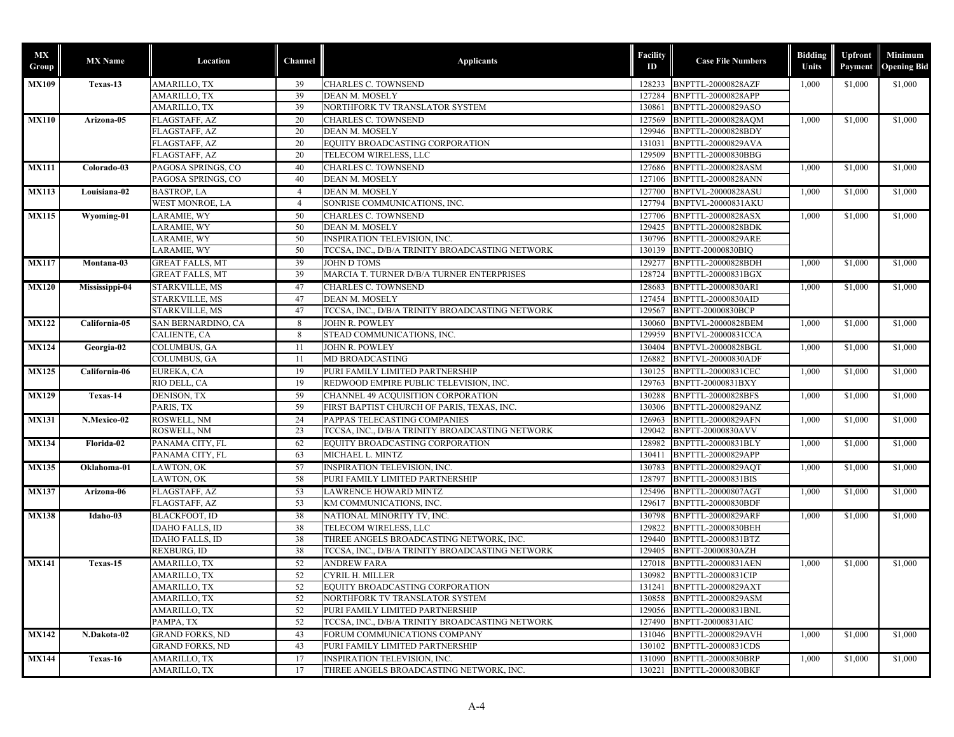| <b>MX</b><br>Group | <b>MX</b> Name  | Location               | Channel        | <b>Applicants</b>                               | Facility<br>ID | <b>Case File Numbers</b>  | <b>Bidding</b><br>Units | <b>Upfront</b><br>Payment | Minimum<br><b>Opening Bid</b> |
|--------------------|-----------------|------------------------|----------------|-------------------------------------------------|----------------|---------------------------|-------------------------|---------------------------|-------------------------------|
| <b>MX109</b>       | Texas-13        | AMARILLO, TX           | 39             | <b>CHARLES C. TOWNSEND</b>                      |                | 128233 BNPTTL-20000828AZF | 1,000                   | \$1,000                   | \$1,000                       |
|                    |                 | AMARILLO, TX           | 39             | DEAN M. MOSELY                                  | 127284         | BNPTTL-20000828APP        |                         |                           |                               |
|                    |                 | AMARILLO, TX           | 39             | NORTHFORK TV TRANSLATOR SYSTEM                  | 130861         | BNPTTL-20000829ASO        |                         |                           |                               |
| <b>MX110</b>       | Arizona-05      | FLAGSTAFF, AZ          | 20             | <b>CHARLES C. TOWNSEND</b>                      | 127569         | BNPTTL-20000828AOM        | 1,000                   | \$1,000                   | \$1,000                       |
|                    |                 | FLAGSTAFF, AZ          | 20             | DEAN M. MOSELY                                  | 129946         | BNPTTL-20000828BDY        |                         |                           |                               |
|                    |                 | FLAGSTAFF, AZ          | 20             | EQUITY BROADCASTING CORPORATION                 | 131031         | BNPTTL-20000829AVA        |                         |                           |                               |
|                    |                 | FLAGSTAFF, AZ          | 20             | TELECOM WIRELESS, LLC                           | 129509         | BNPTTL-20000830BBG        |                         |                           |                               |
| <b>MX111</b>       | Colorado-03     | PAGOSA SPRINGS, CO     | 40             | CHARLES C. TOWNSEND                             | 127686         | <b>BNPTTL-20000828ASM</b> | 1,000                   | \$1,000                   | \$1,000                       |
|                    |                 | PAGOSA SPRINGS, CO     | 40             | DEAN M. MOSELY                                  | 127106         | <b>BNPTTL-20000828ANN</b> |                         |                           |                               |
| <b>MX113</b>       | Louisiana-02    | <b>BASTROP, LA</b>     | $\overline{4}$ | DEAN M. MOSELY                                  | 127700         | <b>BNPTVL-20000828ASU</b> | 1,000                   | \$1,000                   | \$1,000                       |
|                    |                 | WEST MONROE, LA        | $\overline{4}$ | SONRISE COMMUNICATIONS, INC.                    | 127794         | <b>BNPTVL-20000831AKU</b> |                         |                           |                               |
| <b>MX115</b>       | Wyoming-01      | LARAMIE, WY            | 50             | CHARLES C. TOWNSEND                             |                | 127706 BNPTTL-20000828ASX | 1,000                   | \$1,000                   | \$1,000                       |
|                    |                 | LARAMIE, WY            | 50             | DEAN M. MOSELY                                  | 129425         | BNPTTL-20000828BDK        |                         |                           |                               |
|                    |                 | LARAMIE, WY            | 50             | <b>INSPIRATION TELEVISION, INC.</b>             | 130796         | <b>BNPTTL-20000829ARE</b> |                         |                           |                               |
|                    |                 | LARAMIE, WY            | 50             | TCCSA, INC., D/B/A TRINITY BROADCASTING NETWORK | 130139         | BNPTT-20000830BIQ         |                         |                           |                               |
| <b>MX117</b>       | Montana-03      | <b>GREAT FALLS, MT</b> | 39             | <b>JOHN D TOMS</b>                              |                | 129277 BNPTTL-20000828BDH | 1,000                   | \$1,000                   | \$1,000                       |
|                    |                 | <b>GREAT FALLS, MT</b> | 39             | MARCIA T. TURNER D/B/A TURNER ENTERPRISES       |                | 128724 BNPTTL-20000831BGX |                         |                           |                               |
| <b>MX120</b>       | Mississippi-04  | STARKVILLE, MS         | 47             | CHARLES C. TOWNSEND                             | 128683         | <b>BNPTTL-20000830ARI</b> | 1,000                   | \$1,000                   | \$1,000                       |
|                    |                 | STARKVILLE, MS         | 47             | DEAN M. MOSELY                                  | 127454         | <b>BNPTTL-20000830AID</b> |                         |                           |                               |
|                    |                 | STARKVILLE, MS         | 47             | TCCSA, INC., D/B/A TRINITY BROADCASTING NETWORK | 129567         | BNPTT-20000830BCP         |                         |                           |                               |
| <b>MX122</b>       | California-05   | SAN BERNARDINO, CA     | 8              | <b>JOHN R. POWLEY</b>                           |                | 130060 BNPTVL-20000828BEM | 1,000                   | \$1,000                   | \$1,000                       |
|                    |                 | CALIENTE, CA           | 8              | STEAD COMMUNICATIONS, INC.                      | 129959         | <b>BNPTVL-20000831CCA</b> |                         |                           |                               |
| <b>MX124</b>       | Georgia-02      | COLUMBUS, GA           | -11            | JOHN R. POWLEY                                  | 130404         | BNPTVL-20000828BGL        | 1,000                   | \$1,000                   | \$1,000                       |
|                    |                 | COLUMBUS, GA           | 11             | MD BROADCASTING                                 | 126882         | <b>BNPTVL-20000830ADF</b> |                         |                           |                               |
| <b>MX125</b>       | California-06   | EUREKA, CA             | 19             | PURI FAMILY LIMITED PARTNERSHIP                 | 130125         | BNPTTL-20000831CEC        | 1,000                   | \$1,000                   | \$1,000                       |
|                    |                 | RIO DELL, CA           | 19             | REDWOOD EMPIRE PUBLIC TELEVISION, INC.          | 129763         | BNPTT-20000831BXY         |                         |                           |                               |
| <b>MX129</b>       | Texas-14        | DENISON, TX            | 59             | CHANNEL 49 ACQUISITION CORPORATION              |                | 130288 BNPTTL-20000828BFS | 1,000                   | \$1,000                   | \$1,000                       |
|                    |                 | PARIS, TX              | 59             | FIRST BAPTIST CHURCH OF PARIS, TEXAS, INC.      | 130306         | BNPTTL-20000829ANZ        |                         |                           |                               |
| <b>MX131</b>       | N.Mexico-02     | ROSWELL, NM            | 24             | PAPPAS TELECASTING COMPANIES                    | 126963         | <b>BNPTTL-20000829AFN</b> | 1,000                   | \$1,000                   | \$1,000                       |
|                    |                 | ROSWELL, NM            | 23             | TCCSA, INC., D/B/A TRINITY BROADCASTING NETWORK | 129042         | <b>BNPTT-20000830AVV</b>  |                         |                           |                               |
| <b>MX134</b>       | Florida-02      | PANAMA CITY, FL        | 62             | EQUITY BROADCASTING CORPORATION                 | 128982         | BNPTTL-20000831BLY        | 1,000                   | \$1,000                   | \$1,000                       |
|                    |                 | PANAMA CITY, FL        | 63             | MICHAEL L. MINTZ                                | 130411         | BNPTTL-20000829APP        |                         |                           |                               |
| <b>MX135</b>       | Oklahoma-01     | LAWTON, OK             | 57             | INSPIRATION TELEVISION, INC.                    |                | 130783 BNPTTL-20000829AQT | 1,000                   | \$1,000                   | \$1,000                       |
|                    |                 | LAWTON, OK             | 58             | PURI FAMILY LIMITED PARTNERSHIP                 | 128797         | BNPTTL-20000831BIS        |                         |                           |                               |
| <b>MX137</b>       | Arizona-06      | FLAGSTAFF, AZ          | 53             | <b>LAWRENCE HOWARD MINTZ</b>                    | 125496         | <b>BNPTTL-20000807AGT</b> | 1,000                   | \$1,000                   | \$1,000                       |
|                    |                 | FLAGSTAFF, AZ          | 53             | KM COMMUNICATIONS, INC.                         | 129617         | <b>BNPTTL-20000830BDF</b> |                         |                           |                               |
| <b>MX138</b>       | Idaho-03        | <b>BLACKFOOT, ID</b>   | 38             | NATIONAL MINORITY TV, INC.                      | 130798         | <b>BNPTTL-20000829ARF</b> | 1,000                   | \$1,000                   | \$1,000                       |
|                    |                 | <b>IDAHO FALLS, ID</b> | 38             | TELECOM WIRELESS, LLC                           | 129822         | BNPTTL-20000830BEH        |                         |                           |                               |
|                    |                 | IDAHO FALLS, ID        | 38             | THREE ANGELS BROADCASTING NETWORK, INC.         | 129440         | BNPTTL-20000831BTZ        |                         |                           |                               |
|                    |                 | REXBURG, ID            | 38             | TCCSA, INC., D/B/A TRINITY BROADCASTING NETWORK | 129405         | BNPTT-20000830AZH         |                         |                           |                               |
| <b>MX141</b>       | Texas-15        | AMARILLO, TX           | 52             | <b>ANDREW FARA</b>                              | 127018         | <b>BNPTTL-20000831AEN</b> | 1,000                   | \$1,000                   | \$1,000                       |
|                    |                 | AMARILLO, TX           | 52             | <b>CYRIL H. MILLER</b>                          |                | 130982 BNPTTL-20000831CIP |                         |                           |                               |
|                    |                 | AMARILLO, TX           | 52             | EQUITY BROADCASTING CORPORATION                 |                | 131241 BNPTTL-20000829AXT |                         |                           |                               |
|                    |                 | AMARILLO, TX           | 52             | NORTHFORK TV TRANSLATOR SYSTEM                  |                | 130858 BNPTTL-20000829ASM |                         |                           |                               |
|                    |                 | AMARILLO, TX           | 52             | PURI FAMILY LIMITED PARTNERSHIP                 | 129056         | BNPTTL-20000831BNL        |                         |                           |                               |
|                    |                 | PAMPA, TX              | 52             | TCCSA, INC., D/B/A TRINITY BROADCASTING NETWORK |                | 127490 BNPTT-20000831AIC  |                         |                           |                               |
| <b>MX142</b>       | N.Dakota-02     | <b>GRAND FORKS, ND</b> | 43             | FORUM COMMUNICATIONS COMPANY                    |                | 131046 BNPTTL-20000829AVH | 1,000                   | \$1,000                   | \$1,000                       |
|                    |                 | <b>GRAND FORKS, ND</b> | 43             | PURI FAMILY LIMITED PARTNERSHIP                 | 130102         | BNPTTL-20000831CDS        |                         |                           |                               |
| <b>MX144</b>       | <b>Texas-16</b> | AMARILLO, TX           | 17             | INSPIRATION TELEVISION, INC.                    | 131090         | BNPTTL-20000830BRP        | 1,000                   | \$1,000                   | \$1,000                       |
|                    |                 | AMARILLO, TX           | 17             | THREE ANGELS BROADCASTING NETWORK, INC.         |                | 130221 BNPTTL-20000830BKF |                         |                           |                               |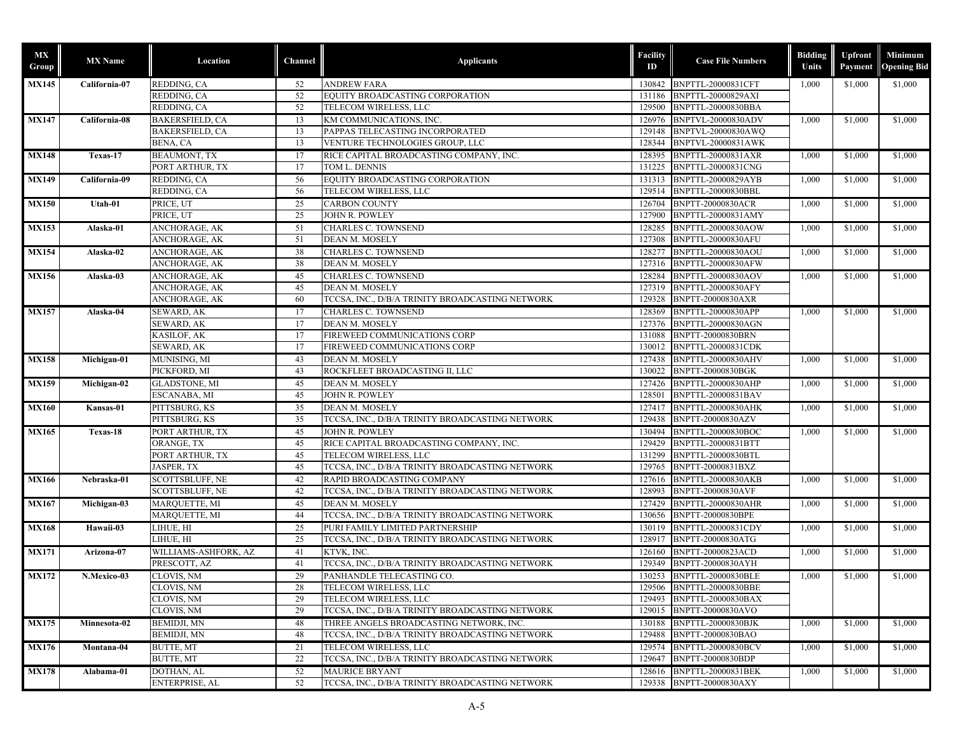| МX<br>Group  | <b>MX</b> Name | Location                      | Channel  | <b>Applicants</b>                                         | Facility<br>ID | <b>Case File Numbers</b>                        | <b>Bidding</b><br>Units | <b>Upfront</b><br>Payment | Minimum<br><b>Opening Bid</b> |         |  |
|--------------|----------------|-------------------------------|----------|-----------------------------------------------------------|----------------|-------------------------------------------------|-------------------------|---------------------------|-------------------------------|---------|--|
| <b>MX145</b> | California-07  | REDDING, CA                   | 52       | <b>ANDREW FARA</b>                                        |                | 130842 BNPTTL-20000831CFT                       | 1,000                   | \$1,000                   | \$1,000                       |         |  |
|              |                | REDDING, CA                   | 52       | EQUITY BROADCASTING CORPORATION                           | 131186         | BNPTTL-20000829AXI                              |                         |                           |                               |         |  |
|              |                | REDDING, CA                   | 52       | TELECOM WIRELESS, LLC                                     | 129500         | BNPTTL-20000830BBA                              |                         |                           |                               |         |  |
| <b>MX147</b> | California-08  | BAKERSFIELD, CA               | 13       | KM COMMUNICATIONS, INC.                                   | 126976         | <b>BNPTVL-20000830ADV</b>                       | 1,000                   | \$1,000                   | \$1,000                       |         |  |
|              |                | <b>BAKERSFIELD, CA</b>        | 13       | PAPPAS TELECASTING INCORPORATED                           | 129148         | BNPTVL-20000830AWQ                              |                         |                           |                               |         |  |
|              |                | BENA, CA                      | 13       | VENTURE TECHNOLOGIES GROUP, LLC                           | 128344         | <b>BNPTVL-20000831AWK</b>                       |                         |                           |                               |         |  |
| <b>MX148</b> | Texas-17       | BEAUMONT, TX                  | 17       | RICE CAPITAL BROADCASTING COMPANY, INC.                   |                | 128395 BNPTTL-20000831AXR                       | 1,000                   | \$1,000                   | \$1,000                       |         |  |
|              |                | PORT ARTHUR, TX               | 17       | TOM L. DENNIS                                             | 131225         | BNPTTL-20000831CNG                              |                         |                           |                               |         |  |
| <b>MX149</b> | California-09  | REDDING, CA                   | 56       | EQUITY BROADCASTING CORPORATION                           |                | 131313 BNPTTL-20000829AYB                       | 1,000                   | \$1,000                   | \$1,000                       |         |  |
|              |                | REDDING, CA                   | 56       | TELECOM WIRELESS, LLC                                     | 129514         | BNPTTL-20000830BBL                              |                         |                           |                               |         |  |
| <b>MX150</b> | Utah-01        | PRICE, UT                     | 25       | <b>CARBON COUNTY</b>                                      | 126704         | <b>BNPTT-20000830ACR</b>                        | 1,000                   | \$1,000                   | \$1,000                       |         |  |
|              |                | PRICE, UT                     | 25       | JOHN R. POWLEY                                            | 127900         | BNPTTL-20000831AMY                              |                         |                           |                               |         |  |
| <b>MX153</b> | Alaska-01      | ANCHORAGE, AK                 | 51       | CHARLES C. TOWNSEND                                       | 128285         | BNPTTL-20000830AOW                              | 1,000                   |                           | \$1,000                       | \$1,000 |  |
|              |                | ANCHORAGE, AK                 | 51       | DEAN M. MOSELY                                            | 127308         | BNPTTL-20000830AFU                              |                         |                           |                               |         |  |
| <b>MX154</b> | Alaska-02      | ANCHORAGE, AK                 | 38       | CHARLES C. TOWNSEND                                       |                | 128277 BNPTTL-20000830AOU                       | 1,000                   |                           | \$1,000                       | \$1,000 |  |
|              |                | ANCHORAGE, AK                 | 38       | DEAN M. MOSELY                                            |                | 127316 BNPTTL-20000830AFW                       |                         |                           |                               |         |  |
| <b>MX156</b> | Alaska-03      | ANCHORAGE, AK                 | 45       | <b>CHARLES C. TOWNSEND</b>                                |                | 128284 BNPTTL-20000830AOV                       | 1,000                   | \$1,000                   | \$1,000                       |         |  |
|              |                | ANCHORAGE, AK                 | 45       | DEAN M. MOSELY                                            | 127319         | BNPTTL-20000830AFY                              |                         |                           |                               |         |  |
|              |                | ANCHORAGE, AK                 | 60       | TCCSA, INC., D/B/A TRINITY BROADCASTING NETWORK           | 129328         | BNPTT-20000830AXR                               |                         |                           |                               |         |  |
| <b>MX157</b> | Alaska-04      | SEWARD, AK                    | 17       | CHARLES C. TOWNSEND                                       | 128369         | BNPTTL-20000830APP                              | 1,000                   | \$1,000                   | \$1,000                       |         |  |
|              |                | SEWARD, AK                    | 17       | DEAN M. MOSELY                                            | 127376         | BNPTTL-20000830AGN                              |                         |                           |                               |         |  |
|              |                | KASILOF, AK                   | 17       | FIREWEED COMMUNICATIONS CORP                              | 131088         | <b>BNPTT-20000830BRN</b>                        |                         |                           |                               |         |  |
|              |                | SEWARD, AK                    | 17       | FIREWEED COMMUNICATIONS CORP                              | 130012         | BNPTTL-20000831CDK                              |                         |                           |                               |         |  |
| <b>MX158</b> | Michigan-01    | MUNISING, MI                  | 43       | DEAN M. MOSELY                                            | 127438         | <b>BNPTTL-20000830AHV</b>                       | 1,000                   | \$1,000                   | \$1,000                       |         |  |
|              |                | PICKFORD, MI                  | 43       | ROCKFLEET BROADCASTING II, LLC                            | 130022         | BNPTT-20000830BGK                               |                         |                           |                               |         |  |
| <b>MX159</b> | Michigan-02    | <b>GLADSTONE, MI</b>          | 45       | DEAN M. MOSELY                                            | 127426         | BNPTTL-20000830AHP                              | 1,000                   | \$1,000                   | \$1,000                       |         |  |
|              |                | ESCANABA, MI                  | 45       | JOHN R. POWLEY                                            | 128501         | BNPTTL-20000831BAV                              |                         |                           |                               |         |  |
| <b>MX160</b> | Kansas-01      | PITTSBURG, KS                 | 35       | <b>DEAN M. MOSELY</b>                                     |                | 127417 BNPTTL-20000830AHK                       | 1,000                   |                           | \$1,000                       | \$1,000 |  |
|              |                | PITTSBURG, KS                 | 35       | TCCSA, INC., D/B/A TRINITY BROADCASTING NETWORK           | 129438         | BNPTT-20000830AZV                               |                         |                           |                               |         |  |
|              |                |                               |          |                                                           |                |                                                 |                         |                           |                               |         |  |
| <b>MX165</b> | Texas-18       | PORT ARTHUR, TX               | 45<br>45 | JOHN R. POWLEY<br>RICE CAPITAL BROADCASTING COMPANY, INC. | 129429         | 130494 BNPTTL-20000830BOC<br>BNPTTL-20000831BTT | 1,000                   | \$1,000                   | \$1,000                       |         |  |
|              |                | ORANGE, TX                    | 45       | TELECOM WIRELESS, LLC                                     | 131299         |                                                 |                         |                           |                               |         |  |
|              |                | PORT ARTHUR, TX<br>JASPER, TX | 45       | TCCSA, INC., D/B/A TRINITY BROADCASTING NETWORK           | 129765         | BNPTTL-20000830BTL<br>BNPTT-20000831BXZ         |                         |                           |                               |         |  |
|              |                |                               |          |                                                           |                |                                                 |                         |                           |                               |         |  |
| <b>MX166</b> | Nebraska-01    | SCOTTSBLUFF, NE               | 42<br>42 | RAPID BROADCASTING COMPANY                                | 127616         | <b>BNPTTL-20000830AKB</b>                       | 1,000                   | \$1,000                   | \$1,000                       |         |  |
|              |                | SCOTTSBLUFF, NE               |          | TCCSA, INC., D/B/A TRINITY BROADCASTING NETWORK           | 128993         | <b>BNPTT-20000830AVF</b>                        |                         |                           |                               |         |  |
| <b>MX167</b> | Michigan-03    | MARQUETTE, MI                 | 45       | <b>DEAN M. MOSELY</b>                                     |                | 127429 BNPTTL-20000830AHR                       | 1,000                   | \$1,000                   | \$1,000                       |         |  |
|              |                | MARQUETTE, MI                 | 44       | TCCSA, INC., D/B/A TRINITY BROADCASTING NETWORK           | 130656         | BNPTT-20000830BPE                               |                         |                           |                               |         |  |
| <b>MX168</b> | Hawaii-03      | LIHUE, HI                     | 25       | PURI FAMILY LIMITED PARTNERSHIP                           | 130119         | BNPTTL-20000831CDY                              | 1,000                   | \$1,000                   | \$1,000                       |         |  |
|              |                | LIHUE, HI                     | 25       | TCCSA, INC., D/B/A TRINITY BROADCASTING NETWORK           | 128917         | BNPTT-20000830ATG                               |                         |                           |                               |         |  |
| <b>MX171</b> | Arizona-07     | WILLIAMS-ASHFORK, AZ          | 41       | KTVK, INC.                                                | 126160         | BNPTT-20000823ACD                               | 1,000                   | \$1,000                   | \$1,000                       |         |  |
|              |                | PRESCOTT, AZ                  | 41       | TCCSA, INC., D/B/A TRINITY BROADCASTING NETWORK           | 129349         | BNPTT-20000830AYH                               |                         |                           |                               |         |  |
| <b>MX172</b> | N.Mexico-03    | CLOVIS, NM                    | 29       | PANHANDLE TELECASTING CO.                                 |                | 130253 BNPTTL-20000830BLE                       | 1,000                   | \$1,000                   | \$1,000                       |         |  |
|              |                | CLOVIS, NM                    | -28      | TELECOM WIRELESS, LLC                                     |                | 129506 BNPTTL-20000830BBE                       |                         |                           |                               |         |  |
|              |                | CLOVIS, NM                    | 29       | TELECOM WIRELESS, LLC                                     | 129493         | <b>BNPTTL-20000830BAX</b>                       |                         |                           |                               |         |  |
|              |                | CLOVIS, NM                    | 29       | TCCSA, INC., D/B/A TRINITY BROADCASTING NETWORK           | 129015         | BNPTT-20000830AVO                               |                         |                           |                               |         |  |
| <b>MX175</b> | Minnesota-02   | <b>BEMIDJI, MN</b>            | 48       | THREE ANGELS BROADCASTING NETWORK, INC.                   | 130188         | <b>BNPTTL-20000830BJK</b>                       | 1,000                   | \$1,000                   | \$1,000                       |         |  |
|              |                | <b>BEMIDJI, MN</b>            | 48       | TCCSA, INC., D/B/A TRINITY BROADCASTING NETWORK           | 129488         | BNPTT-20000830BAO                               |                         |                           |                               |         |  |
| <b>MX176</b> | Montana-04     | BUTTE, MT                     | 21       | TELECOM WIRELESS, LLC                                     |                | 129574 BNPTTL-20000830BCV                       | 1,000                   | \$1,000                   | \$1,000                       |         |  |
|              |                | <b>BUTTE, MT</b>              | 22       | TCCSA, INC., D/B/A TRINITY BROADCASTING NETWORK           |                | 129647 BNPTT-20000830BDP                        |                         |                           |                               |         |  |
| <b>MX178</b> | Alabama-01     | DOTHAN, AL                    | 52       | <b>MAURICE BRYANT</b>                                     |                | 128616 BNPTTL-20000831BEK                       | 1,000                   | \$1,000                   | \$1,000                       |         |  |
|              |                | ENTERPRISE, AL                | 52       | TCCSA, INC., D/B/A TRINITY BROADCASTING NETWORK           |                | 129338 BNPTT-20000830AXY                        |                         |                           |                               |         |  |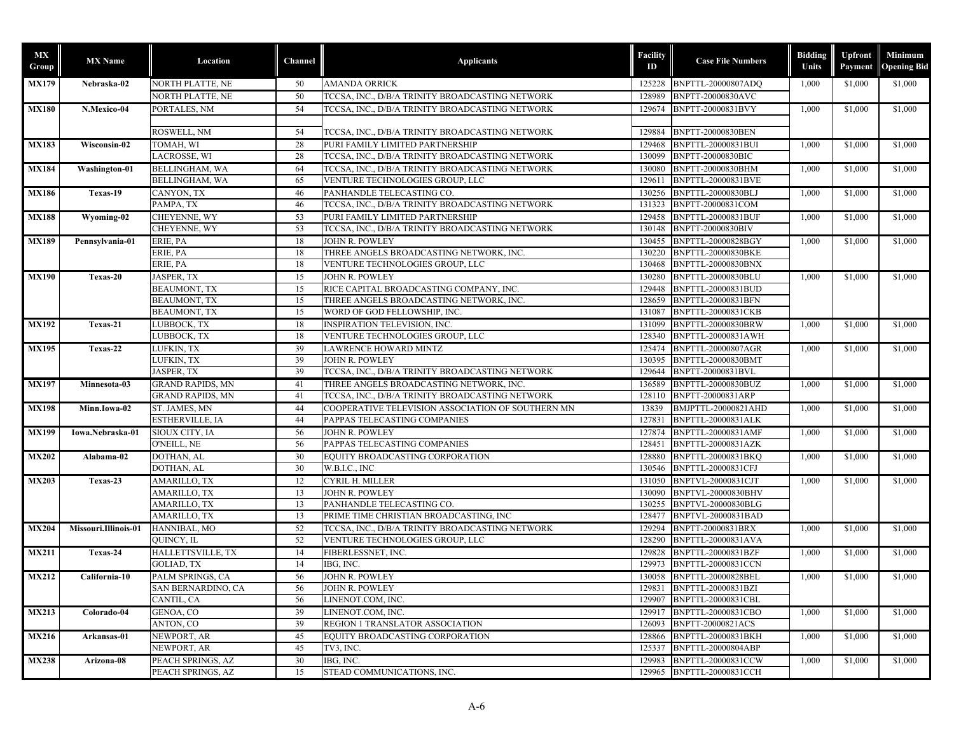| МX<br>Group  | <b>MX</b> Name       | Location                | Channel | <b>Applicants</b>                                 | Facility<br>ID | <b>Case File Numbers</b>  | <b>Bidding</b><br>Units | <b>Upfront</b><br>Payment | <b>Minimum</b><br><b>Opening Bid</b> |
|--------------|----------------------|-------------------------|---------|---------------------------------------------------|----------------|---------------------------|-------------------------|---------------------------|--------------------------------------|
| <b>MX179</b> | Nebraska-02          | NORTH PLATTE, NE        | 50      | <b>AMANDA ORRICK</b>                              | 125228         | <b>BNPTTL-20000807ADQ</b> | 1,000                   | \$1,000                   | \$1,000                              |
|              |                      | NORTH PLATTE, NE        | 50      | TCCSA, INC., D/B/A TRINITY BROADCASTING NETWORK   | 128989         | BNPTT-20000830AVC         |                         |                           |                                      |
| <b>MX180</b> | N.Mexico-04          | PORTALES, NM            | 54      | TCCSA, INC., D/B/A TRINITY BROADCASTING NETWORK   | 129674         | BNPTT-20000831BVY         | 1,000                   | \$1,000                   | \$1,000                              |
|              |                      |                         |         |                                                   |                |                           |                         |                           |                                      |
|              |                      | ROSWELL, NM             | 54      | TCCSA, INC., D/B/A TRINITY BROADCASTING NETWORK   | 129884         | <b>BNPTT-20000830BEN</b>  |                         |                           |                                      |
| <b>MX183</b> | Wisconsin-02         | TOMAH, WI               | 28      | PURI FAMILY LIMITED PARTNERSHIP                   | 129468         | <b>BNPTTL-20000831BUI</b> | 1,000                   | \$1,000                   | \$1,000                              |
|              |                      | LACROSSE, WI            | 28      | TCCSA, INC., D/B/A TRINITY BROADCASTING NETWORK   | 130099         | <b>BNPTT-20000830BIC</b>  |                         |                           |                                      |
| <b>MX184</b> | Washington-01        | <b>BELLINGHAM, WA</b>   | 64      | TCCSA, INC., D/B/A TRINITY BROADCASTING NETWORK   | 130080         | BNPTT-20000830BHM         | 1,000                   | \$1,000                   | \$1,000                              |
|              |                      | <b>BELLINGHAM, WA</b>   | 65      | VENTURE TECHNOLOGIES GROUP, LLC                   | 129611         | BNPTTL-20000831BVE        |                         |                           |                                      |
| <b>MX186</b> | Texas-19             | CANYON, TX              | 46      | PANHANDLE TELECASTING CO.                         |                | 130256 BNPTTL-20000830BLJ | 1,000                   | \$1,000                   | \$1,000                              |
|              |                      | PAMPA, TX               | 46      | TCCSA, INC., D/B/A TRINITY BROADCASTING NETWORK   | 131323         | BNPTT-20000831COM         |                         |                           |                                      |
| <b>MX188</b> | Wyoming-02           | CHEYENNE, WY            | 53      | PURI FAMILY LIMITED PARTNERSHIP                   | 129458         | <b>BNPTTL-20000831BUF</b> | 1,000                   | \$1,000                   | \$1,000                              |
|              |                      | CHEYENNE, WY            | 53      | TCCSA, INC., D/B/A TRINITY BROADCASTING NETWORK   | 130148         | BNPTT-20000830BIV         |                         |                           |                                      |
| <b>MX189</b> | Pennsylvania-01      | ERIE, PA                | 18      | JOHN R. POWLEY                                    | 130455         | BNPTTL-20000828BGY        | 1,000                   | \$1,000                   | \$1,000                              |
|              |                      | ERIE, PA                | 18      | THREE ANGELS BROADCASTING NETWORK, INC.           | 130220         | <b>BNPTTL-20000830BKE</b> |                         |                           |                                      |
|              |                      | ERIE, PA                | 18      | VENTURE TECHNOLOGIES GROUP, LLC                   | 130468         | BNPTTL-20000830BNX        |                         |                           |                                      |
| <b>MX190</b> | Texas-20             | <b>JASPER, TX</b>       | 15      | JOHN R. POWLEY                                    | 130280         | BNPTTL-20000830BLU        | 1,000                   | \$1,000                   | \$1,000                              |
|              |                      | <b>BEAUMONT, TX</b>     | 15      | RICE CAPITAL BROADCASTING COMPANY, INC.           | 129448         | BNPTTL-20000831BUD        |                         |                           |                                      |
|              |                      | <b>BEAUMONT, TX</b>     | 15      | THREE ANGELS BROADCASTING NETWORK, INC.           | 128659         | <b>BNPTTL-20000831BFN</b> |                         |                           |                                      |
|              |                      | <b>BEAUMONT, TX</b>     | 15      | WORD OF GOD FELLOWSHIP, INC.                      | 131087         | <b>BNPTTL-20000831CKB</b> |                         |                           |                                      |
| <b>MX192</b> | Texas-21             | LUBBOCK, TX             | 18      | <b>INSPIRATION TELEVISION, INC.</b>               | 131099         | BNPTTL-20000830BRW        | 1,000                   | \$1,000                   | \$1,000                              |
|              |                      | LUBBOCK, TX             | 18      | VENTURE TECHNOLOGIES GROUP, LLC                   | 128340         | BNPTTL-20000831AWH        |                         |                           |                                      |
| <b>MX195</b> | Texas-22             | LUFKIN, TX              | 39      | LAWRENCE HOWARD MINTZ                             | 125474         | <b>BNPTTL-20000807AGR</b> | 1,000                   | \$1,000                   | \$1,000                              |
|              |                      | LUFKIN, TX              | 39      | JOHN R. POWLEY                                    | 130395         | BNPTTL-20000830BMT        |                         |                           |                                      |
|              |                      | JASPER, TX              | 39      | TCCSA, INC., D/B/A TRINITY BROADCASTING NETWORK   | 129644         | BNPTT-20000831BVL         |                         |                           |                                      |
| <b>MX197</b> | Minnesota-03         | <b>GRAND RAPIDS, MN</b> | 41      | THREE ANGELS BROADCASTING NETWORK, INC.           | 136589         | BNPTTL-20000830BUZ        | 1,000                   | \$1,000                   | \$1,000                              |
|              |                      | <b>GRAND RAPIDS, MN</b> | 41      | TCCSA, INC., D/B/A TRINITY BROADCASTING NETWORK   | 128110         | BNPTT-20000831ARP         |                         |                           |                                      |
| <b>MX198</b> | Minn.Iowa-02         | ST. JAMES, MN           | 44      | COOPERATIVE TELEVISION ASSOCIATION OF SOUTHERN MN | 13839          | BMJPTTL-20000821AHD       | 1,000                   | \$1,000                   | \$1,000                              |
|              |                      | ESTHERVILLE, IA         | 44      | PAPPAS TELECASTING COMPANIES                      | 127831         | BNPTTL-20000831ALK        |                         |                           |                                      |
| <b>MX199</b> | Iowa.Nebraska-01     | SIOUX CITY, IA          | 56      | JOHN R. POWLEY                                    | 127874         | BNPTTL-20000831AMF        | 1,000                   | \$1,000                   | \$1,000                              |
|              |                      | O'NEILL, NE             | 56      | PAPPAS TELECASTING COMPANIES                      | 128451         | BNPTTL-20000831AZK        |                         |                           |                                      |
| <b>MX202</b> | Alabama-02           | DOTHAN, AL              | 30      | EQUITY BROADCASTING CORPORATION                   | 128880         | <b>BNPTTL-20000831BKQ</b> | 1,000                   | \$1,000                   | \$1,000                              |
|              |                      | DOTHAN, AL              | 30      | W.B.I.C., INC                                     | 130546         | BNPTTL-20000831CFJ        |                         |                           |                                      |
| <b>MX203</b> | Texas-23             | <b>AMARILLO, TX</b>     | 12      | CYRIL H. MILLER                                   | 131050         | BNPTVL-20000831CJT        | 1,000                   | \$1,000                   | \$1,000                              |
|              |                      | AMARILLO, TX            | 13      | JOHN R. POWLEY                                    | 130090         | BNPTVL-20000830BHV        |                         |                           |                                      |
|              |                      | AMARILLO, TX            | 13      | PANHANDLE TELECASTING CO.                         | 130255         | BNPTVL-20000830BLG        |                         |                           |                                      |
|              |                      | AMARILLO, TX            | 13      | PRIME TIME CHRISTIAN BROADCASTING, INC            | 128477         | BNPTVL-20000831BAD        |                         |                           |                                      |
| <b>MX204</b> | Missouri.Illinois-01 | HANNIBAL, MO            | 52      | TCCSA, INC., D/B/A TRINITY BROADCASTING NETWORK   | 129294         | BNPTT-20000831BRX         | 1,000                   | \$1,000                   | \$1,000                              |
|              |                      | QUINCY, IL              | 52      | VENTURE TECHNOLOGIES GROUP, LLC                   | 128290         | BNPTTL-20000831AVA        |                         |                           |                                      |
| <b>MX211</b> | Texas-24             | HALLETTSVILLE, TX       | 14      | FIBERLESSNET, INC.                                | 129828         | <b>BNPTTL-20000831BZF</b> | 1,000                   | \$1,000                   | \$1,000                              |
|              |                      | <b>GOLIAD, TX</b>       | 14      | IBG, INC.                                         | 129973         | BNPTTL-20000831CCN        |                         |                           |                                      |
| <b>MX212</b> | California-10        | PALM SPRINGS, CA        | 56      | JOHN R. POWLEY                                    |                | 130058 BNPTTL-20000828BEL | 1,000                   | \$1,000                   | \$1,000                              |
|              |                      | SAN BERNARDINO, CA      | 56      | JOHN R. POWLEY                                    |                | 129831 BNPTTL-20000831BZI |                         |                           |                                      |
|              |                      | CANTIL, CA              | 56      | LINENOT.COM, INC.                                 | 129907         | <b>BNPTTL-20000831CBL</b> |                         |                           |                                      |
| MX213        | Colorado-04          | GENOA, CO               | 39      | LINENOT.COM, INC.                                 | 129917         | BNPTTL-20000831CBO        | 1,000                   | \$1,000                   | \$1,000                              |
|              |                      | ANTON, CO               | 39      | REGION 1 TRANSLATOR ASSOCIATION                   | 126093         | BNPTT-20000821ACS         |                         |                           |                                      |
| <b>MX216</b> | Arkansas-01          | NEWPORT, AR             | 45      | EQUITY BROADCASTING CORPORATION                   | 128866         | <b>BNPTTL-20000831BKH</b> | 1,000                   | \$1,000                   | \$1,000                              |
|              |                      | NEWPORT, AR             | 45      | TV3, INC.                                         | 125337         | BNPTTL-20000804ABP        |                         |                           |                                      |
| <b>MX238</b> | Arizona-08           | PEACH SPRINGS, AZ       | 30      | IBG, INC.                                         | 129983         | <b>BNPTTL-20000831CCW</b> | 1,000                   | \$1,000                   | \$1,000                              |
|              |                      | PEACH SPRINGS, AZ       | 15      | STEAD COMMUNICATIONS, INC.                        | 129965         | BNPTTL-20000831CCH        |                         |                           |                                      |